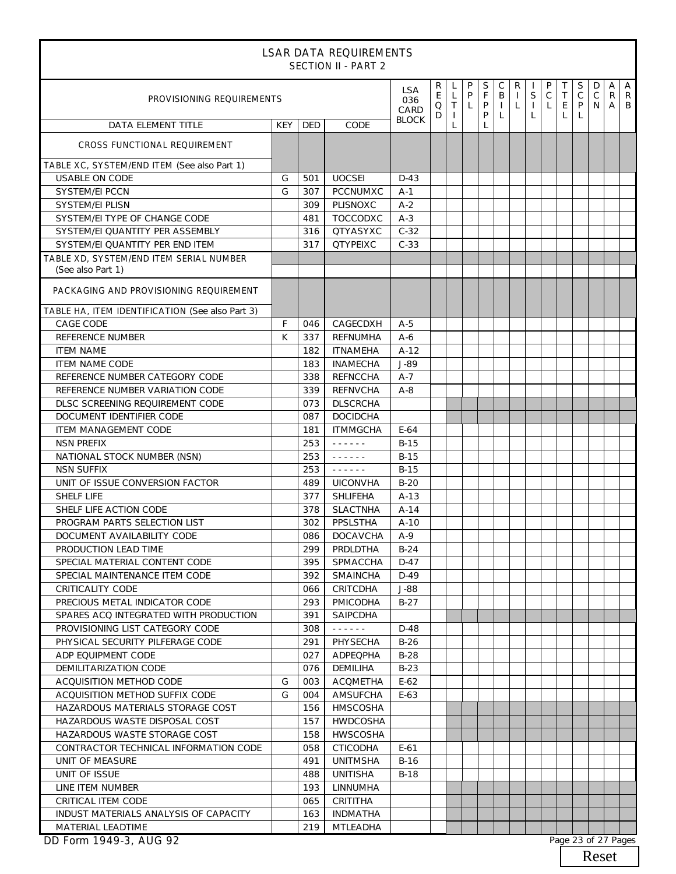| <b>LSAR DATA REQUIREMENTS</b><br><b>SECTION II - PART 2</b>  |            |            |                                      |                    |                           |                             |                        |                  |                             |                   |                                  |                        |        |                        |                        |             |                                |
|--------------------------------------------------------------|------------|------------|--------------------------------------|--------------------|---------------------------|-----------------------------|------------------------|------------------|-----------------------------|-------------------|----------------------------------|------------------------|--------|------------------------|------------------------|-------------|--------------------------------|
| PROVISIONING REQUIREMENTS                                    |            |            |                                      | LSA<br>036<br>CARD | R<br>E<br>$\hbox{O}$<br>D | L<br>L<br>T<br>$\mathbf{I}$ | P<br>P<br>$\mathsf{L}$ | S<br>F<br>P<br>P | С<br>B<br>$\mathbf{L}$<br>L | R<br>$\mathsf{L}$ | $\mathsf S$<br>$\mathbf{I}$<br>L | P<br>$\mathsf{C}$<br>L | T<br>E | S<br>$\mathsf{C}$<br>P | D<br>$\mathsf{C}$<br>N | A<br>R<br>A | $\overline{A}$<br>$\mathsf{R}$ |
| DATA ELEMENT TITLE                                           | <b>KEY</b> | <b>DED</b> | CODE                                 | <b>BLOCK</b>       |                           | $\mathsf{L}$                |                        | $\mathsf{L}$     |                             |                   |                                  |                        |        |                        |                        |             |                                |
| <b>CROSS FUNCTIONAL REQUIREMENT</b>                          |            |            |                                      |                    |                           |                             |                        |                  |                             |                   |                                  |                        |        |                        |                        |             |                                |
| TABLE XC, SYSTEM/END ITEM (See also Part 1)                  |            |            |                                      |                    |                           |                             |                        |                  |                             |                   |                                  |                        |        |                        |                        |             |                                |
| <b>USABLE ON CODE</b>                                        | G          | 501        | <b>UOCSEI</b>                        | $D-43$             |                           |                             |                        |                  |                             |                   |                                  |                        |        |                        |                        |             |                                |
| <b>SYSTEM/EI PCCN</b>                                        | G          | 307        | <b>PCCNUMXC</b>                      | $A-1$              |                           |                             |                        |                  |                             |                   |                                  |                        |        |                        |                        |             |                                |
| SYSTEM/EI PLISN                                              |            | 309        | PLISNOXC                             | $A-2$              |                           |                             |                        |                  |                             |                   |                                  |                        |        |                        |                        |             |                                |
| SYSTEM/EI TYPE OF CHANGE CODE                                |            | 481        | TOCCODXC                             | $A-3$              |                           |                             |                        |                  |                             |                   |                                  |                        |        |                        |                        |             |                                |
| SYSTEM/EI QUANTITY PER ASSEMBLY                              |            | 316        | <b>QTYASYXC</b>                      | $C-32$             |                           |                             |                        |                  |                             |                   |                                  |                        |        |                        |                        |             |                                |
| SYSTEM/EI QUANTITY PER END ITEM                              |            | 317        | <b>QTYPEIXC</b>                      | $C-33$             |                           |                             |                        |                  |                             |                   |                                  |                        |        |                        |                        |             |                                |
| TABLE XD. SYSTEM/END ITEM SERIAL NUMBER<br>(See also Part 1) |            |            |                                      |                    |                           |                             |                        |                  |                             |                   |                                  |                        |        |                        |                        |             |                                |
| PACKAGING AND PROVISIONING REQUIREMENT                       |            |            |                                      |                    |                           |                             |                        |                  |                             |                   |                                  |                        |        |                        |                        |             |                                |
| TABLE HA, ITEM IDENTIFICATION (See also Part 3)              |            |            |                                      |                    |                           |                             |                        |                  |                             |                   |                                  |                        |        |                        |                        |             |                                |
| <b>CAGE CODE</b>                                             | F          | 046        | CAGECDXH                             | $A-5$              |                           |                             |                        |                  |                             |                   |                                  |                        |        |                        |                        |             |                                |
| REFERENCE NUMBER                                             | K          | 337        | REFNUMHA                             | $A-6$              |                           |                             |                        |                  |                             |                   |                                  |                        |        |                        |                        |             |                                |
| <b>ITEM NAME</b>                                             |            | 182        | <b>ITNAMEHA</b>                      | $A-12$             |                           |                             |                        |                  |                             |                   |                                  |                        |        |                        |                        |             |                                |
| <b>ITEM NAME CODE</b>                                        |            | 183        | <b>INAMECHA</b>                      | J-89               |                           |                             |                        |                  |                             |                   |                                  |                        |        |                        |                        |             |                                |
| REFERENCE NUMBER CATEGORY CODE                               |            | 338        | <b>REFNCCHA</b>                      | $A-7$              |                           |                             |                        |                  |                             |                   |                                  |                        |        |                        |                        |             |                                |
| REFERENCE NUMBER VARIATION CODE                              |            | 339        | <b>REFNVCHA</b>                      | $A-8$              |                           |                             |                        |                  |                             |                   |                                  |                        |        |                        |                        |             |                                |
| DLSC SCREENING REQUIREMENT CODE                              |            | 073        | <b>DLSCRCHA</b>                      |                    |                           |                             |                        |                  |                             |                   |                                  |                        |        |                        |                        |             |                                |
| DOCUMENT IDENTIFIER CODE                                     |            | 087        | <b>DOCIDCHA</b>                      |                    |                           |                             |                        |                  |                             |                   |                                  |                        |        |                        |                        |             |                                |
| <b>ITEM MANAGEMENT CODE</b>                                  |            | 181        | <b>ITMMGCHA</b>                      | $E-64$             |                           |                             |                        |                  |                             |                   |                                  |                        |        |                        |                        |             |                                |
| <b>NSN PREFIX</b>                                            |            | 253        | $\omega$ is a graph.                 | $B-15$             |                           |                             |                        |                  |                             |                   |                                  |                        |        |                        |                        |             |                                |
| NATIONAL STOCK NUMBER (NSN)                                  |            | 253        | $\omega$ is a second order           | $B-15$             |                           |                             |                        |                  |                             |                   |                                  |                        |        |                        |                        |             |                                |
| <b>NSN SUFFIX</b>                                            |            | 253        | $\omega$ is a second order           | $B-15$             |                           |                             |                        |                  |                             |                   |                                  |                        |        |                        |                        |             |                                |
| UNIT OF ISSUE CONVERSION FACTOR                              |            | 489        | <b>UICONVHA</b>                      | $B-20$             |                           |                             |                        |                  |                             |                   |                                  |                        |        |                        |                        |             |                                |
| <b>SHELF LIFE</b>                                            |            | 377        | <b>SHLIFEHA</b>                      | $A-13$             |                           |                             |                        |                  |                             |                   |                                  |                        |        |                        |                        |             |                                |
| SHELF LIFE ACTION CODE                                       |            | 378        | <b>SLACTNHA</b>                      | $A-14$             |                           |                             |                        |                  |                             |                   |                                  |                        |        |                        |                        |             |                                |
| PROGRAM PARTS SELECTION LIST                                 |            | 302        | PPSLSTHA                             | $A-10$             |                           |                             |                        |                  |                             |                   |                                  |                        |        |                        |                        |             |                                |
| DOCUMENT AVAILABILITY CODE                                   |            | 086        | <b>DOCAVCHA</b>                      | A-9                |                           |                             |                        |                  |                             |                   |                                  |                        |        |                        |                        |             |                                |
| PRODUCTION LEAD TIME                                         |            | 299        | PRDLDTHA                             | $B-24$             |                           |                             |                        |                  |                             |                   |                                  |                        |        |                        |                        |             |                                |
| SPECIAL MATERIAL CONTENT CODE                                |            | 395        | SPMACCHA                             | $D-47$             |                           |                             |                        |                  |                             |                   |                                  |                        |        |                        |                        |             |                                |
| SPECIAL MAINTENANCE ITEM CODE                                |            | 392        | SMAINCHA                             | $D-49$             |                           |                             |                        |                  |                             |                   |                                  |                        |        |                        |                        |             |                                |
| <b>CRITICALITY CODE</b>                                      |            | 066        | CRITCDHA                             | $J-88$             |                           |                             |                        |                  |                             |                   |                                  |                        |        |                        |                        |             |                                |
| PRECIOUS METAL INDICATOR CODE                                |            | 293        | PMICODHA                             | $B-27$             |                           |                             |                        |                  |                             |                   |                                  |                        |        |                        |                        |             |                                |
| SPARES ACQ INTEGRATED WITH PRODUCTION                        |            | 391        | <b>SAIPCDHA</b>                      |                    |                           |                             |                        |                  |                             |                   |                                  |                        |        |                        |                        |             |                                |
| PROVISIONING LIST CATEGORY CODE                              |            | 308        | $\omega$ is a second set of $\omega$ | D-48               |                           |                             |                        |                  |                             |                   |                                  |                        |        |                        |                        |             |                                |
| PHYSICAL SECURITY PILFERAGE CODE                             |            | 291        | PHYSECHA                             | $B-26$             |                           |                             |                        |                  |                             |                   |                                  |                        |        |                        |                        |             |                                |
| ADP EQUIPMENT CODE                                           |            | 027        | ADPEQPHA                             | $B-28$             |                           |                             |                        |                  |                             |                   |                                  |                        |        |                        |                        |             |                                |
| DEMILITARIZATION CODE                                        |            | 076        | DEMILIHA                             | $B-23$             |                           |                             |                        |                  |                             |                   |                                  |                        |        |                        |                        |             |                                |
| ACQUISITION METHOD CODE                                      | G          | 003        | <b>ACQMETHA</b>                      | $E-62$             |                           |                             |                        |                  |                             |                   |                                  |                        |        |                        |                        |             |                                |
| ACQUISITION METHOD SUFFIX CODE                               | G          | 004        | AMSUFCHA                             | $E-63$             |                           |                             |                        |                  |                             |                   |                                  |                        |        |                        |                        |             |                                |
| HAZARDOUS MATERIALS STORAGE COST                             |            | 156        | HMSCOSHA                             |                    |                           |                             |                        |                  |                             |                   |                                  |                        |        |                        |                        |             |                                |
| HAZARDOUS WASTE DISPOSAL COST                                |            | 157        | <b>HWDCOSHA</b>                      |                    |                           |                             |                        |                  |                             |                   |                                  |                        |        |                        |                        |             |                                |
| HAZARDOUS WASTE STORAGE COST                                 |            | 158        | <b>HWSCOSHA</b>                      |                    |                           |                             |                        |                  |                             |                   |                                  |                        |        |                        |                        |             |                                |
| CONTRACTOR TECHNICAL INFORMATION CODE<br>UNIT OF MEASURE     |            | 058        | <b>CTICODHA</b>                      | $E-61$             |                           |                             |                        |                  |                             |                   |                                  |                        |        |                        |                        |             |                                |
|                                                              |            | 491        | <b>UNITMSHA</b>                      | $B-16$             |                           |                             |                        |                  |                             |                   |                                  |                        |        |                        |                        |             |                                |
| UNIT OF ISSUE                                                |            | 488        | <b>UNITISHA</b>                      | $B-18$             |                           |                             |                        |                  |                             |                   |                                  |                        |        |                        |                        |             |                                |
| LINE ITEM NUMBER                                             |            | 193        | LINNUMHA                             |                    |                           |                             |                        |                  |                             |                   |                                  |                        |        |                        |                        |             |                                |
| CRITICAL ITEM CODE                                           |            | 065        | CRITITHA                             |                    |                           |                             |                        |                  |                             |                   |                                  |                        |        |                        |                        |             |                                |
| INDUST MATERIALS ANALYSIS OF CAPACITY<br>MATERIAL LEADTIME   |            | 163<br>219 | <b>INDMATHA</b><br><b>MTLEADHA</b>   |                    |                           |                             |                        |                  |                             |                   |                                  |                        |        |                        |                        |             |                                |
| DD Form 1949-3, AUG 92                                       |            |            |                                      |                    |                           |                             |                        |                  |                             |                   |                                  |                        |        | Page 23 of 27 Pages    |                        |             |                                |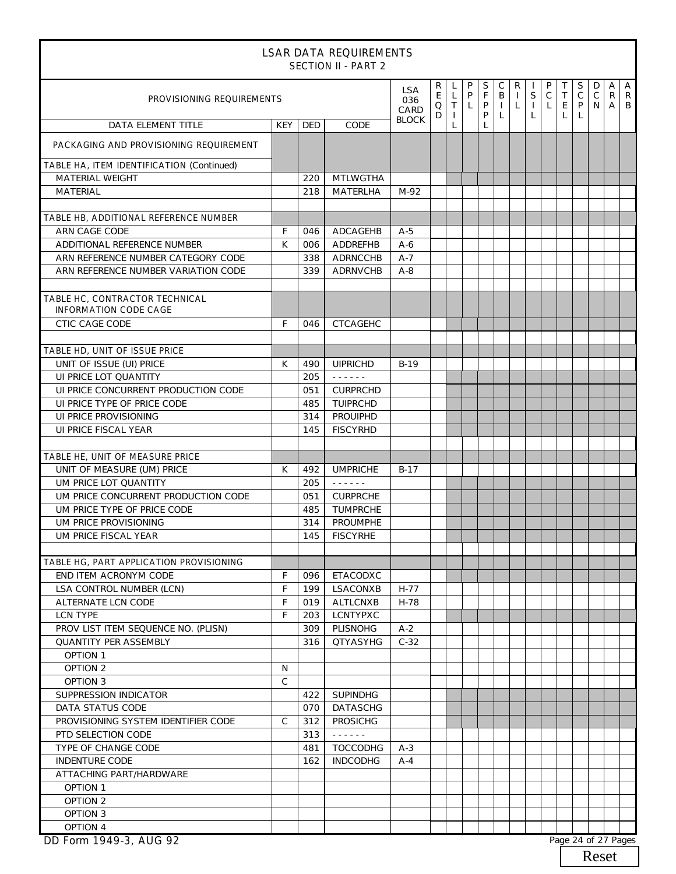|                                                                |               |     | <b>LSAR DATA REQUIREMENTS</b><br><b>SECTION II - PART 2</b> |              |                             |                                   |                        |                  |                                                   |                              |                   |                                |             |                                |                                 |                   |        |
|----------------------------------------------------------------|---------------|-----|-------------------------------------------------------------|--------------|-----------------------------|-----------------------------------|------------------------|------------------|---------------------------------------------------|------------------------------|-------------------|--------------------------------|-------------|--------------------------------|---------------------------------|-------------------|--------|
| PROVISIONING REQUIREMENTS<br>036<br>CARD                       |               |     |                                                             |              | R<br>E<br>$\mathsf{O}$<br>D | L<br>$\mathsf{L}$<br>T<br>$\perp$ | P<br>P<br>$\mathsf{L}$ | S<br>F<br>P<br>P | $\mathsf{C}$<br>$\mathsf{B}$<br>$\mathbf{L}$<br>L | R<br>$\perp$<br>$\mathsf{L}$ | S<br>$\perp$<br>L | P<br>$\mathsf{C}$<br>$\lfloor$ | Τ<br>T<br>L | S<br>$\mathsf C$<br>E   P<br>L | D<br>$\mathsf C$<br>$N$ $A$ $B$ | A<br>$\mathsf{R}$ | A<br>R |
| DATA ELEMENT TITLE                                             | <b>KEY</b>    | DED | CODE                                                        | <b>BLOCK</b> |                             | L                                 |                        | L                |                                                   |                              |                   |                                |             |                                |                                 |                   |        |
| PACKAGING AND PROVISIONING REQUIREMENT                         |               |     |                                                             |              |                             |                                   |                        |                  |                                                   |                              |                   |                                |             |                                |                                 |                   |        |
| TABLE HA, ITEM IDENTIFICATION (Continued)                      |               |     |                                                             |              |                             |                                   |                        |                  |                                                   |                              |                   |                                |             |                                |                                 |                   |        |
| MATERIAL WEIGHT                                                |               | 220 | <b>MTLWGTHA</b>                                             |              |                             |                                   |                        |                  |                                                   |                              |                   |                                |             |                                |                                 |                   |        |
| <b>MATERIAL</b>                                                |               | 218 | MATERLHA                                                    | M-92         |                             |                                   |                        |                  |                                                   |                              |                   |                                |             |                                |                                 |                   |        |
| TABLE HB, ADDITIONAL REFERENCE NUMBER                          |               |     |                                                             |              |                             |                                   |                        |                  |                                                   |                              |                   |                                |             |                                |                                 |                   |        |
| ARN CAGE CODE                                                  | F             | 046 | ADCAGEHB                                                    | $A-5$        |                             |                                   |                        |                  |                                                   |                              |                   |                                |             |                                |                                 |                   |        |
| ADDITIONAL REFERENCE NUMBER                                    | K             | 006 | ADDREFHB                                                    | $A-6$        |                             |                                   |                        |                  |                                                   |                              |                   |                                |             |                                |                                 |                   |        |
| ARN REFERENCE NUMBER CATEGORY CODE                             |               | 338 | ADRNCCHB                                                    | $A-7$        |                             |                                   |                        |                  |                                                   |                              |                   |                                |             |                                |                                 |                   |        |
| ARN REFERENCE NUMBER VARIATION CODE                            |               | 339 | ADRNVCHB                                                    | $A-8$        |                             |                                   |                        |                  |                                                   |                              |                   |                                |             |                                |                                 |                   |        |
| TABLE HC, CONTRACTOR TECHNICAL<br><b>INFORMATION CODE CAGE</b> |               |     |                                                             |              |                             |                                   |                        |                  |                                                   |                              |                   |                                |             |                                |                                 |                   |        |
| <b>CTIC CAGE CODE</b>                                          | F.            | 046 | <b>CTCAGEHC</b>                                             |              |                             |                                   |                        |                  |                                                   |                              |                   |                                |             |                                |                                 |                   |        |
|                                                                |               |     |                                                             |              |                             |                                   |                        |                  |                                                   |                              |                   |                                |             |                                |                                 |                   |        |
| TABLE HD, UNIT OF ISSUE PRICE                                  |               |     |                                                             |              |                             |                                   |                        |                  |                                                   |                              |                   |                                |             |                                |                                 |                   |        |
| UNIT OF ISSUE (UI) PRICE                                       | K             | 490 | <b>UIPRICHD</b>                                             | $B-19$       |                             |                                   |                        |                  |                                                   |                              |                   |                                |             |                                |                                 |                   |        |
| UI PRICE LOT QUANTITY                                          |               | 205 | $\omega$ is a graph.                                        |              |                             |                                   |                        |                  |                                                   |                              |                   |                                |             |                                |                                 |                   |        |
| UI PRICE CONCURRENT PRODUCTION CODE                            |               | 051 | <b>CURPRCHD</b>                                             |              |                             |                                   |                        |                  |                                                   |                              |                   |                                |             |                                |                                 |                   |        |
| UI PRICE TYPE OF PRICE CODE                                    |               | 485 | TUIPRCHD                                                    |              |                             |                                   |                        |                  |                                                   |                              |                   |                                |             |                                |                                 |                   |        |
| UI PRICE PROVISIONING                                          |               | 314 | PROUIPHD                                                    |              |                             |                                   |                        |                  |                                                   |                              |                   |                                |             |                                |                                 |                   |        |
| UI PRICE FISCAL YEAR                                           |               | 145 | <b>FISCYRHD</b>                                             |              |                             |                                   |                        |                  |                                                   |                              |                   |                                |             |                                |                                 |                   |        |
| TABLE HE, UNIT OF MEASURE PRICE                                |               |     |                                                             |              |                             |                                   |                        |                  |                                                   |                              |                   |                                |             |                                |                                 |                   |        |
| UNIT OF MEASURE (UM) PRICE                                     | K             | 492 | <b>UMPRICHE</b>                                             | $B-17$       |                             |                                   |                        |                  |                                                   |                              |                   |                                |             |                                |                                 |                   |        |
| <b>UM PRICE LOT QUANTITY</b>                                   |               | 205 | $\omega$ is a graph.                                        |              |                             |                                   |                        |                  |                                                   |                              |                   |                                |             |                                |                                 |                   |        |
| UM PRICE CONCURRENT PRODUCTION CODE                            |               | 051 | <b>CURPRCHE</b>                                             |              |                             |                                   |                        |                  |                                                   |                              |                   |                                |             |                                |                                 |                   |        |
| UM PRICE TYPE OF PRICE CODE                                    |               | 485 | TUMPRCHE                                                    |              |                             |                                   |                        |                  |                                                   |                              |                   |                                |             |                                |                                 |                   |        |
| UM PRICE PROVISIONING                                          |               | 314 | <b>PROUMPHE</b>                                             |              |                             |                                   |                        |                  |                                                   |                              |                   |                                |             |                                |                                 |                   |        |
| UM PRICE FISCAL YEAR                                           |               |     | 145 FISCYRHE                                                |              |                             |                                   |                        |                  |                                                   |                              |                   |                                |             |                                |                                 |                   |        |
| TABLE HG, PART APPLICATION PROVISIONING                        |               |     |                                                             |              |                             |                                   |                        |                  |                                                   |                              |                   |                                |             |                                |                                 |                   |        |
| END ITEM ACRONYM CODE                                          | F             | 096 | ETACODXC                                                    |              |                             |                                   |                        |                  |                                                   |                              |                   |                                |             |                                |                                 |                   |        |
| LSA CONTROL NUMBER (LCN)                                       | F.            | 199 | <b>LSACONXB</b>                                             | $H-77$       |                             |                                   |                        |                  |                                                   |                              |                   |                                |             |                                |                                 |                   |        |
| ALTERNATE LCN CODE                                             | F             | 019 | <b>ALTLCNXB</b>                                             | H-78         |                             |                                   |                        |                  |                                                   |                              |                   |                                |             |                                |                                 |                   |        |
| <b>LCN TYPE</b>                                                | F.            | 203 | <b>LCNTYPXC</b>                                             |              |                             |                                   |                        |                  |                                                   |                              |                   |                                |             |                                |                                 |                   |        |
| PROV LIST ITEM SEQUENCE NO. (PLISN)                            |               | 309 | PLISNOHG                                                    | $A-2$        |                             |                                   |                        |                  |                                                   |                              |                   |                                |             |                                |                                 |                   |        |
| QUANTITY PER ASSEMBLY                                          |               | 316 | <b>QTYASYHG</b>                                             | $C-32$       |                             |                                   |                        |                  |                                                   |                              |                   |                                |             |                                |                                 |                   |        |
| OPTION 1                                                       |               |     |                                                             |              |                             |                                   |                        |                  |                                                   |                              |                   |                                |             |                                |                                 |                   |        |
| OPTION 2                                                       | N             |     |                                                             |              |                             |                                   |                        |                  |                                                   |                              |                   |                                |             |                                |                                 |                   |        |
| OPTION 3                                                       | $\mathcal{C}$ |     |                                                             |              |                             |                                   |                        |                  |                                                   |                              |                   |                                |             |                                |                                 |                   |        |
| SUPPRESSION INDICATOR                                          |               | 422 | <b>SUPINDHG</b>                                             |              |                             |                                   |                        |                  |                                                   |                              |                   |                                |             |                                |                                 |                   |        |
| DATA STATUS CODE                                               |               | 070 | <b>DATASCHG</b>                                             |              |                             |                                   |                        |                  |                                                   |                              |                   |                                |             |                                |                                 |                   |        |
| PROVISIONING SYSTEM IDENTIFIER CODE                            | $\mathcal{C}$ | 312 | <b>PROSICHG</b>                                             |              |                             |                                   |                        |                  |                                                   |                              |                   |                                |             |                                |                                 |                   |        |
| PTD SELECTION CODE                                             |               | 313 | $\omega$ is a second set of $\omega$                        |              |                             |                                   |                        |                  |                                                   |                              |                   |                                |             |                                |                                 |                   |        |
| TYPE OF CHANGE CODE                                            |               | 481 | <b>TOCCODHG</b>                                             | $A-3$        |                             |                                   |                        |                  |                                                   |                              |                   |                                |             |                                |                                 |                   |        |
| INDENTURE CODE                                                 |               | 162 | <b>INDCODHG</b>                                             | $A-4$        |                             |                                   |                        |                  |                                                   |                              |                   |                                |             |                                |                                 |                   |        |
| ATTACHING PART/HARDWARE                                        |               |     |                                                             |              |                             |                                   |                        |                  |                                                   |                              |                   |                                |             |                                |                                 |                   |        |
| OPTION 1                                                       |               |     |                                                             |              |                             |                                   |                        |                  |                                                   |                              |                   |                                |             |                                |                                 |                   |        |
| OPTION 2                                                       |               |     |                                                             |              |                             |                                   |                        |                  |                                                   |                              |                   |                                |             |                                |                                 |                   |        |
| OPTION 3                                                       |               |     |                                                             |              |                             |                                   |                        |                  |                                                   |                              |                   |                                |             |                                |                                 |                   |        |
| OPTION 4<br>DD Form 1949-3 ALIG 92                             |               |     |                                                             |              |                             |                                   |                        |                  |                                                   |                              |                   |                                |             | Page 24 of 27 Pages            |                                 |                   |        |

**DD Form 1949-3, AUG 92**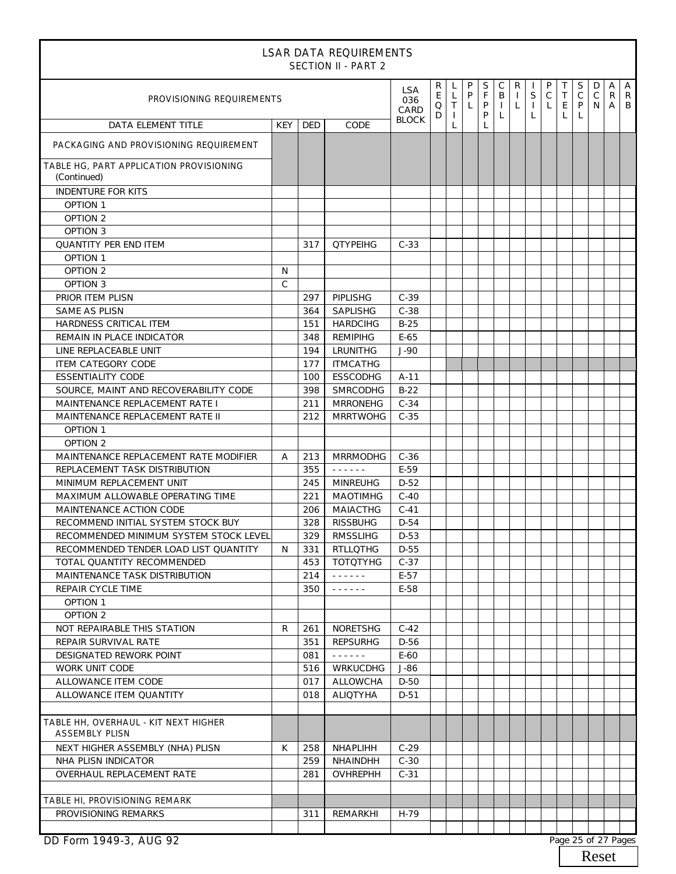| <b>LSAR DATA REQUIREMENTS</b><br><b>SECTION II - PART 2</b>   |               |            |                                      |              |                          |                             |                        |                  |                                       |                         |                                  |                       |                       |                       |                       |                          |                          |
|---------------------------------------------------------------|---------------|------------|--------------------------------------|--------------|--------------------------|-----------------------------|------------------------|------------------|---------------------------------------|-------------------------|----------------------------------|-----------------------|-----------------------|-----------------------|-----------------------|--------------------------|--------------------------|
| PROVISIONING REQUIREMENTS<br>CARD                             |               |            |                                      |              | R<br>$\mathsf{E}^-$<br>Q | L<br>L<br>T<br>$\mathbf{I}$ | P<br>P<br>$\mathsf{L}$ | S<br>F<br>P<br>P | $\mathsf C$<br>B<br>$\mathbf{L}$<br>L | R<br>$\mathbf{I}$<br>L. | $\mathsf S$<br>$\mathbf{I}$<br>L | P<br>$\mathsf C$<br>L | Τ<br>$\top$<br>E<br>L | S<br>$\mathsf C$<br>P | D<br>$\mathsf C$<br>N | A<br>$\mathsf{R}$<br>A I | $\overline{A}$<br>R<br>B |
| DATA ELEMENT TITLE                                            | <b>KEY</b>    | <b>DED</b> | CODE                                 | <b>BLOCK</b> | D                        |                             |                        | L                |                                       |                         |                                  |                       |                       |                       |                       |                          |                          |
| PACKAGING AND PROVISIONING REQUIREMENT                        |               |            |                                      |              |                          |                             |                        |                  |                                       |                         |                                  |                       |                       |                       |                       |                          |                          |
| TABLE HG, PART APPLICATION PROVISIONING<br>(Continued)        |               |            |                                      |              |                          |                             |                        |                  |                                       |                         |                                  |                       |                       |                       |                       |                          |                          |
| <b>INDENTURE FOR KITS</b>                                     |               |            |                                      |              |                          |                             |                        |                  |                                       |                         |                                  |                       |                       |                       |                       |                          |                          |
| <b>OPTION 1</b>                                               |               |            |                                      |              |                          |                             |                        |                  |                                       |                         |                                  |                       |                       |                       |                       |                          |                          |
| <b>OPTION 2</b>                                               |               |            |                                      |              |                          |                             |                        |                  |                                       |                         |                                  |                       |                       |                       |                       |                          |                          |
| <b>OPTION 3</b>                                               |               |            |                                      |              |                          |                             |                        |                  |                                       |                         |                                  |                       |                       |                       |                       |                          |                          |
| <b>QUANTITY PER END ITEM</b>                                  |               | 317        | <b>QTYPEIHG</b>                      | $C-33$       |                          |                             |                        |                  |                                       |                         |                                  |                       |                       |                       |                       |                          |                          |
| <b>OPTION 1</b>                                               |               |            |                                      |              |                          |                             |                        |                  |                                       |                         |                                  |                       |                       |                       |                       |                          |                          |
| OPTION 2                                                      | N             |            |                                      |              |                          |                             |                        |                  |                                       |                         |                                  |                       |                       |                       |                       |                          |                          |
| <b>OPTION 3</b>                                               | $\mathcal{C}$ |            |                                      |              |                          |                             |                        |                  |                                       |                         |                                  |                       |                       |                       |                       |                          |                          |
| PRIOR ITEM PLISN                                              |               | 297        | PIPLISHG                             | $C-39$       |                          |                             |                        |                  |                                       |                         |                                  |                       |                       |                       |                       |                          |                          |
| <b>SAME AS PLISN</b>                                          |               | 364        | <b>SAPLISHG</b>                      | $C-38$       |                          |                             |                        |                  |                                       |                         |                                  |                       |                       |                       |                       |                          |                          |
| HARDNESS CRITICAL ITEM                                        |               | 151        | <b>HARDCIHG</b>                      | $B-25$       |                          |                             |                        |                  |                                       |                         |                                  |                       |                       |                       |                       |                          |                          |
| REMAIN IN PLACE INDICATOR                                     |               | 348        | <b>REMIPIHG</b>                      | $E-65$       |                          |                             |                        |                  |                                       |                         |                                  |                       |                       |                       |                       |                          |                          |
| LINE REPLACEABLE UNIT                                         |               | 194        | LRUNITHG                             | $J-90$       |                          |                             |                        |                  |                                       |                         |                                  |                       |                       |                       |                       |                          |                          |
| <b>ITEM CATEGORY CODE</b>                                     |               | 177        | <b>ITMCATHG</b>                      |              |                          |                             |                        |                  |                                       |                         |                                  |                       |                       |                       |                       |                          |                          |
| <b>ESSENTIALITY CODE</b>                                      |               | 100        | <b>ESSCODHG</b>                      | $A-11$       |                          |                             |                        |                  |                                       |                         |                                  |                       |                       |                       |                       |                          |                          |
| SOURCE, MAINT AND RECOVERABILITY CODE                         |               | 398        | <b>SMRCODHG</b>                      | $B-22$       |                          |                             |                        |                  |                                       |                         |                                  |                       |                       |                       |                       |                          |                          |
| MAINTENANCE REPLACEMENT RATE I                                |               | 211        | <b>MRRONEHG</b>                      | $C-34$       |                          |                             |                        |                  |                                       |                         |                                  |                       |                       |                       |                       |                          |                          |
| MAINTENANCE REPLACEMENT RATE II                               |               | 212        | <b>MRRTWOHG</b>                      | $C-35$       |                          |                             |                        |                  |                                       |                         |                                  |                       |                       |                       |                       |                          |                          |
| <b>OPTION 1</b>                                               |               |            |                                      |              |                          |                             |                        |                  |                                       |                         |                                  |                       |                       |                       |                       |                          |                          |
| <b>OPTION 2</b>                                               |               |            |                                      |              |                          |                             |                        |                  |                                       |                         |                                  |                       |                       |                       |                       |                          |                          |
| MAINTENANCE REPLACEMENT RATE MODIFIER                         | A             | 213        | <b>MRRMODHG</b>                      | $C-36$       |                          |                             |                        |                  |                                       |                         |                                  |                       |                       |                       |                       |                          |                          |
| REPLACEMENT TASK DISTRIBUTION                                 |               | 355        | $\omega$ is a second or $\omega$     | $E-59$       |                          |                             |                        |                  |                                       |                         |                                  |                       |                       |                       |                       |                          |                          |
| MINIMUM REPLACEMENT UNIT                                      |               | 245        | <b>MINREUHG</b>                      | $D-52$       |                          |                             |                        |                  |                                       |                         |                                  |                       |                       |                       |                       |                          |                          |
| MAXIMUM ALLOWABLE OPERATING TIME                              |               | 221        | <b>MAOTIMHG</b>                      | $C-40$       |                          |                             |                        |                  |                                       |                         |                                  |                       |                       |                       |                       |                          |                          |
| MAINTENANCE ACTION CODE                                       |               | 206        | MAIACTHG                             | $C-41$       |                          |                             |                        |                  |                                       |                         |                                  |                       |                       |                       |                       |                          |                          |
| RECOMMEND INITIAL SYSTEM STOCK BUY                            |               | 328        | <b>RISSBUHG</b>                      | $D-54$       |                          |                             |                        |                  |                                       |                         |                                  |                       |                       |                       |                       |                          |                          |
| RECOMMENDED MINIMUM SYSTEM STOCK LEVEL                        |               |            | 329 RMSSLIHG                         | D-53         |                          |                             |                        |                  |                                       |                         |                                  |                       |                       |                       |                       |                          |                          |
| RECOMMENDED TENDER LOAD LIST QUANTITY                         | N             | 331        | RTLLOTHG                             | D-55         |                          |                             |                        |                  |                                       |                         |                                  |                       |                       |                       |                       |                          |                          |
| TOTAL QUANTITY RECOMMENDED                                    |               | 453        | TOTOTYHG                             | $C-37$       |                          |                             |                        |                  |                                       |                         |                                  |                       |                       |                       |                       |                          |                          |
| MAINTENANCE TASK DISTRIBUTION                                 |               | 214        | $\omega$ is a graph.                 | $E-57$       |                          |                             |                        |                  |                                       |                         |                                  |                       |                       |                       |                       |                          |                          |
| REPAIR CYCLE TIME                                             |               | 350        | $\omega$ is a second set of $\omega$ | E-58         |                          |                             |                        |                  |                                       |                         |                                  |                       |                       |                       |                       |                          |                          |
| <b>OPTION 1</b>                                               |               |            |                                      |              |                          |                             |                        |                  |                                       |                         |                                  |                       |                       |                       |                       |                          |                          |
| OPTION 2                                                      |               |            |                                      |              |                          |                             |                        |                  |                                       |                         |                                  |                       |                       |                       |                       |                          |                          |
| NOT REPAIRABLE THIS STATION                                   | R             | 261        | <b>NORETSHG</b>                      | $C-42$       |                          |                             |                        |                  |                                       |                         |                                  |                       |                       |                       |                       |                          |                          |
| REPAIR SURVIVAL RATE                                          |               | 351        | <b>REPSURHG</b>                      | D-56         |                          |                             |                        |                  |                                       |                         |                                  |                       |                       |                       |                       |                          |                          |
| DESIGNATED REWORK POINT                                       |               | 081        | $\omega$ is a graph.                 | E-60         |                          |                             |                        |                  |                                       |                         |                                  |                       |                       |                       |                       |                          |                          |
| WORK UNIT CODE                                                |               | 516        | <b>WRKUCDHG</b>                      | J-86         |                          |                             |                        |                  |                                       |                         |                                  |                       |                       |                       |                       |                          |                          |
| ALLOWANCE ITEM CODE                                           |               | 017        | <b>ALLOWCHA</b>                      | D-50         |                          |                             |                        |                  |                                       |                         |                                  |                       |                       |                       |                       |                          |                          |
| ALLOWANCE ITEM QUANTITY                                       |               | 018        | <b>ALIQTYHA</b>                      | $D-51$       |                          |                             |                        |                  |                                       |                         |                                  |                       |                       |                       |                       |                          |                          |
|                                                               |               |            |                                      |              |                          |                             |                        |                  |                                       |                         |                                  |                       |                       |                       |                       |                          |                          |
| TABLE HH, OVERHAUL - KIT NEXT HIGHER<br><b>ASSEMBLY PLISN</b> |               |            |                                      |              |                          |                             |                        |                  |                                       |                         |                                  |                       |                       |                       |                       |                          |                          |
| NEXT HIGHER ASSEMBLY (NHA) PLISN                              | K             | 258        | NHAPLIHH                             | $C-29$       |                          |                             |                        |                  |                                       |                         |                                  |                       |                       |                       |                       |                          |                          |
| NHA PLISN INDICATOR                                           |               | 259        | NHAINDHH                             | $C-30$       |                          |                             |                        |                  |                                       |                         |                                  |                       |                       |                       |                       |                          |                          |
| OVERHAUL REPLACEMENT RATE                                     |               | 281        | <b>OVHREPHH</b>                      | $C-31$       |                          |                             |                        |                  |                                       |                         |                                  |                       |                       |                       |                       |                          |                          |
|                                                               |               |            |                                      |              |                          |                             |                        |                  |                                       |                         |                                  |                       |                       |                       |                       |                          |                          |
| TABLE HI, PROVISIONING REMARK                                 |               |            |                                      |              |                          |                             |                        |                  |                                       |                         |                                  |                       |                       |                       |                       |                          |                          |
| PROVISIONING REMARKS                                          |               | 311        | REMARKHI                             | H-79         |                          |                             |                        |                  |                                       |                         |                                  |                       |                       |                       |                       |                          |                          |
|                                                               |               |            |                                      |              |                          |                             |                        |                  |                                       |                         |                                  |                       |                       |                       |                       |                          |                          |
| DD Form 1949-3, AUG 92                                        |               |            |                                      |              |                          |                             |                        |                  |                                       |                         |                                  |                       |                       |                       | Page 25 of 27 Pages   |                          |                          |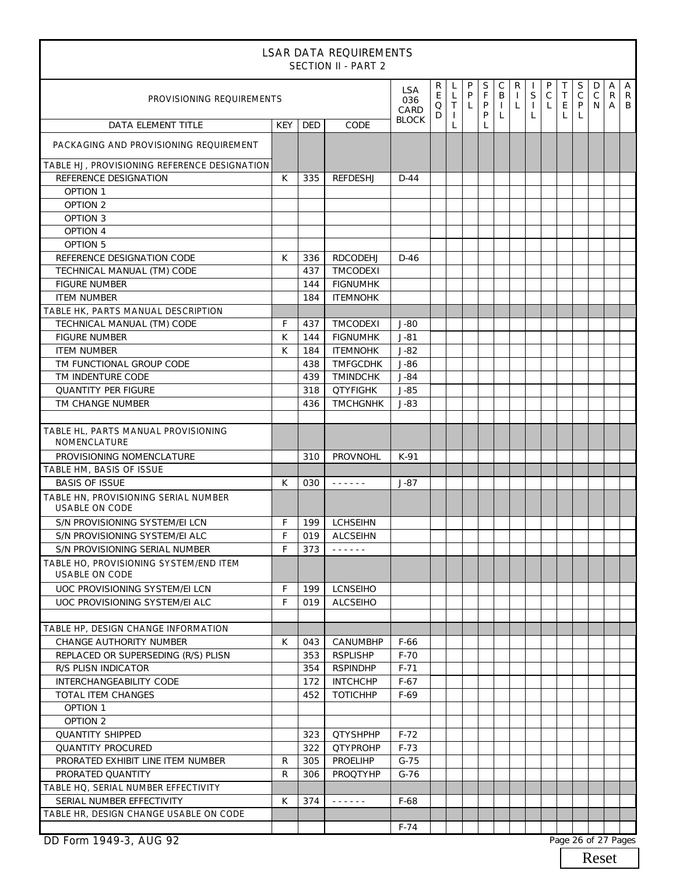| <b>LSAR DATA REQUIREMENTS</b><br><b>SECTION II - PART 2</b>     |               |            |                                                                                                                                     |                           |                                             |                                          |                     |                            |                        |                              |                                  |                                  |                                 |                        |                        |                      |                     |
|-----------------------------------------------------------------|---------------|------------|-------------------------------------------------------------------------------------------------------------------------------------|---------------------------|---------------------------------------------|------------------------------------------|---------------------|----------------------------|------------------------|------------------------------|----------------------------------|----------------------------------|---------------------------------|------------------------|------------------------|----------------------|---------------------|
| PROVISIONING REQUIREMENTS                                       |               |            |                                                                                                                                     | <b>LSA</b><br>036<br>CARD | R.<br>$\mathsf{E}^-$<br>$\hbox{\tt Q}$<br>D | L<br>$\mathsf{L}$<br>T<br>$\overline{1}$ | P<br>P<br>$\lfloor$ | $\mathsf S$<br>F<br>P<br>P | С<br>B<br>$\perp$<br>L | R<br>$\perp$<br>$\mathsf{L}$ | $\mathsf S$<br>$\mathbf{L}$<br>L | P<br>$\mathsf C$<br>$\mathsf{L}$ | Τ<br>$\top$<br>$\mathsf E$<br>L | S<br>$\mathsf{C}$<br>P | D<br>$\mathsf{C}$<br>N | A<br>R<br>$A \mid B$ | $\overline{A}$<br>R |
| <b>DATA ELEMENT TITLE</b>                                       | <b>KEY</b>    | <b>DED</b> | CODE                                                                                                                                | <b>BLOCK</b>              |                                             | L                                        |                     | L                          |                        |                              |                                  |                                  |                                 |                        |                        |                      |                     |
| PACKAGING AND PROVISIONING REQUIREMENT                          |               |            |                                                                                                                                     |                           |                                             |                                          |                     |                            |                        |                              |                                  |                                  |                                 |                        |                        |                      |                     |
| TABLE HJ, PROVISIONING REFERENCE DESIGNATION                    |               |            |                                                                                                                                     |                           |                                             |                                          |                     |                            |                        |                              |                                  |                                  |                                 |                        |                        |                      |                     |
| REFERENCE DESIGNATION                                           | K             | 335        | <b>REFDESHJ</b>                                                                                                                     | $D-44$                    |                                             |                                          |                     |                            |                        |                              |                                  |                                  |                                 |                        |                        |                      |                     |
| <b>OPTION 1</b>                                                 |               |            |                                                                                                                                     |                           |                                             |                                          |                     |                            |                        |                              |                                  |                                  |                                 |                        |                        |                      |                     |
| OPTION 2                                                        |               |            |                                                                                                                                     |                           |                                             |                                          |                     |                            |                        |                              |                                  |                                  |                                 |                        |                        |                      |                     |
| OPTION 3                                                        |               |            |                                                                                                                                     |                           |                                             |                                          |                     |                            |                        |                              |                                  |                                  |                                 |                        |                        |                      |                     |
| OPTION 4<br><b>OPTION 5</b>                                     |               |            |                                                                                                                                     |                           |                                             |                                          |                     |                            |                        |                              |                                  |                                  |                                 |                        |                        |                      |                     |
| REFERENCE DESIGNATION CODE                                      | К             | 336        | RDCODEHJ                                                                                                                            | $D-46$                    |                                             |                                          |                     |                            |                        |                              |                                  |                                  |                                 |                        |                        |                      |                     |
| TECHNICAL MANUAL (TM) CODE                                      |               | 437        | TMCODEXI                                                                                                                            |                           |                                             |                                          |                     |                            |                        |                              |                                  |                                  |                                 |                        |                        |                      |                     |
| <b>FIGURE NUMBER</b>                                            |               | 144        | <b>FIGNUMHK</b>                                                                                                                     |                           |                                             |                                          |                     |                            |                        |                              |                                  |                                  |                                 |                        |                        |                      |                     |
| <b>ITEM NUMBER</b>                                              |               | 184        | <b>ITEMNOHK</b>                                                                                                                     |                           |                                             |                                          |                     |                            |                        |                              |                                  |                                  |                                 |                        |                        |                      |                     |
| TABLE HK, PARTS MANUAL DESCRIPTION                              |               |            |                                                                                                                                     |                           |                                             |                                          |                     |                            |                        |                              |                                  |                                  |                                 |                        |                        |                      |                     |
| TECHNICAL MANUAL (TM) CODE                                      | F             | 437        | TMCODEXI                                                                                                                            | $J-80$                    |                                             |                                          |                     |                            |                        |                              |                                  |                                  |                                 |                        |                        |                      |                     |
| <b>FIGURE NUMBER</b>                                            | К             | 144        | <b>FIGNUMHK</b>                                                                                                                     | $J-81$                    |                                             |                                          |                     |                            |                        |                              |                                  |                                  |                                 |                        |                        |                      |                     |
| <b>ITEM NUMBER</b>                                              | K             | 184        | <b>ITEMNOHK</b>                                                                                                                     | $J-82$                    |                                             |                                          |                     |                            |                        |                              |                                  |                                  |                                 |                        |                        |                      |                     |
| TM FUNCTIONAL GROUP CODE                                        |               | 438        | <b>TMFGCDHK</b>                                                                                                                     | J-86                      |                                             |                                          |                     |                            |                        |                              |                                  |                                  |                                 |                        |                        |                      |                     |
| TM INDENTURE CODE                                               |               | 439        | <b>TMINDCHK</b>                                                                                                                     | $J-84$                    |                                             |                                          |                     |                            |                        |                              |                                  |                                  |                                 |                        |                        |                      |                     |
| <b>QUANTITY PER FIGURE</b>                                      |               | 318        | <b>QTYFIGHK</b>                                                                                                                     | $J-85$                    |                                             |                                          |                     |                            |                        |                              |                                  |                                  |                                 |                        |                        |                      |                     |
| TM CHANGE NUMBER                                                |               | 436        | <b>TMCHGNHK</b>                                                                                                                     | $J-83$                    |                                             |                                          |                     |                            |                        |                              |                                  |                                  |                                 |                        |                        |                      |                     |
| TABLE HL, PARTS MANUAL PROVISIONING<br><b>NOMENCLATURE</b>      |               |            |                                                                                                                                     |                           |                                             |                                          |                     |                            |                        |                              |                                  |                                  |                                 |                        |                        |                      |                     |
| PROVISIONING NOMENCLATURE                                       |               | 310        | PROVNOHL                                                                                                                            | K-91                      |                                             |                                          |                     |                            |                        |                              |                                  |                                  |                                 |                        |                        |                      |                     |
| TABLE HM, BASIS OF ISSUE                                        |               |            |                                                                                                                                     |                           |                                             |                                          |                     |                            |                        |                              |                                  |                                  |                                 |                        |                        |                      |                     |
| <b>BASIS OF ISSUE</b>                                           | К             | 030        | $\begin{array}{cccccccccccccc} \bullet & \bullet & \bullet & \bullet & \bullet & \bullet & \bullet & \bullet & \bullet \end{array}$ | $J-87$                    |                                             |                                          |                     |                            |                        |                              |                                  |                                  |                                 |                        |                        |                      |                     |
| TABLE HN, PROVISIONING SERIAL NUMBER<br><b>USABLE ON CODE</b>   |               |            |                                                                                                                                     |                           |                                             |                                          |                     |                            |                        |                              |                                  |                                  |                                 |                        |                        |                      |                     |
| S/N PROVISIONING SYSTEM/EI LCN                                  | F             |            | 199   LCHSEIHN                                                                                                                      |                           |                                             |                                          |                     |                            |                        |                              |                                  |                                  |                                 |                        |                        |                      |                     |
| S/N PROVISIONING SYSTEM/EI ALC                                  | $\mathsf F^-$ |            | 019 ALCSEIHN                                                                                                                        |                           |                                             |                                          |                     |                            |                        |                              |                                  |                                  |                                 |                        |                        |                      |                     |
| S/N PROVISIONING SERIAL NUMBER                                  | F             | 373        | $\omega = \omega \left( \omega \right) \left( \omega \right) \left( \omega \right) \left( \omega \right)$                           |                           |                                             |                                          |                     |                            |                        |                              |                                  |                                  |                                 |                        |                        |                      |                     |
| TABLE HO, PROVISIONING SYSTEM/END ITEM<br><b>USABLE ON CODE</b> |               |            |                                                                                                                                     |                           |                                             |                                          |                     |                            |                        |                              |                                  |                                  |                                 |                        |                        |                      |                     |
| UOC PROVISIONING SYSTEM/EI LCN                                  | F             | 199        | <b>LCNSEIHO</b>                                                                                                                     |                           |                                             |                                          |                     |                            |                        |                              |                                  |                                  |                                 |                        |                        |                      |                     |
| UOC PROVISIONING SYSTEM/EI ALC                                  | F             | 019        | <b>ALCSEIHO</b>                                                                                                                     |                           |                                             |                                          |                     |                            |                        |                              |                                  |                                  |                                 |                        |                        |                      |                     |
|                                                                 |               |            |                                                                                                                                     |                           |                                             |                                          |                     |                            |                        |                              |                                  |                                  |                                 |                        |                        |                      |                     |
| TABLE HP, DESIGN CHANGE INFORMATION<br>CHANGE AUTHORITY NUMBER  |               |            |                                                                                                                                     |                           |                                             |                                          |                     |                            |                        |                              |                                  |                                  |                                 |                        |                        |                      |                     |
| REPLACED OR SUPERSEDING (R/S) PLISN                             | К             | 043<br>353 | CANUMBHP<br><b>RSPLISHP</b>                                                                                                         | F-66<br>$F-70$            |                                             |                                          |                     |                            |                        |                              |                                  |                                  |                                 |                        |                        |                      |                     |
| R/S PLISN INDICATOR                                             |               | 354        | <b>RSPINDHP</b>                                                                                                                     | $F-71$                    |                                             |                                          |                     |                            |                        |                              |                                  |                                  |                                 |                        |                        |                      |                     |
| INTERCHANGEABILITY CODE                                         |               | 172        | <b>INTCHCHP</b>                                                                                                                     | $F-67$                    |                                             |                                          |                     |                            |                        |                              |                                  |                                  |                                 |                        |                        |                      |                     |
| TOTAL ITEM CHANGES                                              |               | 452        | <b>TOTICHHP</b>                                                                                                                     | $F-69$                    |                                             |                                          |                     |                            |                        |                              |                                  |                                  |                                 |                        |                        |                      |                     |
| <b>OPTION 1</b>                                                 |               |            |                                                                                                                                     |                           |                                             |                                          |                     |                            |                        |                              |                                  |                                  |                                 |                        |                        |                      |                     |
| OPTION 2                                                        |               |            |                                                                                                                                     |                           |                                             |                                          |                     |                            |                        |                              |                                  |                                  |                                 |                        |                        |                      |                     |
| <b>QUANTITY SHIPPED</b>                                         |               | 323        | <b>QTYSHPHP</b>                                                                                                                     | $F-72$                    |                                             |                                          |                     |                            |                        |                              |                                  |                                  |                                 |                        |                        |                      |                     |
| <b>QUANTITY PROCURED</b>                                        |               | 322        | <b>QTYPROHP</b>                                                                                                                     | $F-73$                    |                                             |                                          |                     |                            |                        |                              |                                  |                                  |                                 |                        |                        |                      |                     |
| PRORATED EXHIBIT LINE ITEM NUMBER                               | R             | 305        | PROELIHP                                                                                                                            | $G-75$                    |                                             |                                          |                     |                            |                        |                              |                                  |                                  |                                 |                        |                        |                      |                     |
| PRORATED QUANTITY                                               | R             | 306        | PROQTYHP                                                                                                                            | $G-76$                    |                                             |                                          |                     |                            |                        |                              |                                  |                                  |                                 |                        |                        |                      |                     |
| TABLE HQ, SERIAL NUMBER EFFECTIVITY                             |               |            |                                                                                                                                     |                           |                                             |                                          |                     |                            |                        |                              |                                  |                                  |                                 |                        |                        |                      |                     |
| SERIAL NUMBER EFFECTIVITY                                       | К             | 374        | $\omega = \omega \left( \omega \right) \left( \omega \right) \left( \omega \right) \left( \omega \right)$                           | $F-68$                    |                                             |                                          |                     |                            |                        |                              |                                  |                                  |                                 |                        |                        |                      |                     |
| TABLE HR, DESIGN CHANGE USABLE ON CODE                          |               |            |                                                                                                                                     |                           |                                             |                                          |                     |                            |                        |                              |                                  |                                  |                                 |                        |                        |                      |                     |
| DD Form 1949-3, AUG 92                                          |               |            |                                                                                                                                     | $F-74$                    |                                             |                                          |                     |                            |                        |                              |                                  |                                  |                                 |                        | Page 26 of 27 Pages    |                      |                     |